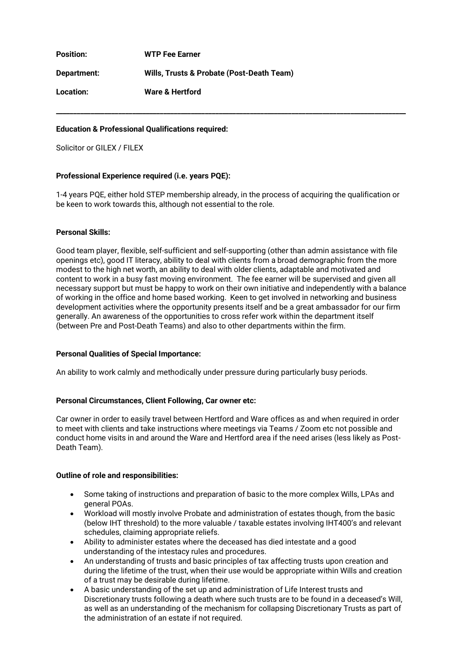**Position: WTP Fee Earner Department: Wills, Trusts & Probate (Post-Death Team) Location: Ware & Hertford**

# **Education & Professional Qualifications required:**

Solicitor or GILEX / FILEX

## **Professional Experience required (i.e. years PQE):**

1-4 years PQE, either hold STEP membership already, in the process of acquiring the qualification or be keen to work towards this, although not essential to the role.

**\_\_\_\_\_\_\_\_\_\_\_\_\_\_\_\_\_\_\_\_\_\_\_\_\_\_\_\_\_\_\_\_\_\_\_\_\_\_\_\_\_\_\_\_\_\_\_\_\_\_\_\_\_\_\_\_\_\_\_\_\_\_\_\_\_\_\_\_\_\_\_\_\_\_\_\_\_\_\_\_\_\_\_\_\_\_\_\_\_\_\_\_\_\_\_\_\_\_\_\_\_**

### **Personal Skills:**

Good team player, flexible, self-sufficient and self-supporting (other than admin assistance with file openings etc), good IT literacy, ability to deal with clients from a broad demographic from the more modest to the high net worth, an ability to deal with older clients, adaptable and motivated and content to work in a busy fast moving environment. The fee earner will be supervised and given all necessary support but must be happy to work on their own initiative and independently with a balance of working in the office and home based working. Keen to get involved in networking and business development activities where the opportunity presents itself and be a great ambassador for our firm generally. An awareness of the opportunities to cross refer work within the department itself (between Pre and Post-Death Teams) and also to other departments within the firm.

### **Personal Qualities of Special Importance:**

An ability to work calmly and methodically under pressure during particularly busy periods.

# **Personal Circumstances, Client Following, Car owner etc:**

Car owner in order to easily travel between Hertford and Ware offices as and when required in order to meet with clients and take instructions where meetings via Teams / Zoom etc not possible and conduct home visits in and around the Ware and Hertford area if the need arises (less likely as Post-Death Team).

### **Outline of role and responsibilities:**

- Some taking of instructions and preparation of basic to the more complex Wills, LPAs and general POAs.
- Workload will mostly involve Probate and administration of estates though, from the basic (below IHT threshold) to the more valuable / taxable estates involving IHT400's and relevant schedules, claiming appropriate reliefs.
- Ability to administer estates where the deceased has died intestate and a good understanding of the intestacy rules and procedures.
- An understanding of trusts and basic principles of tax affecting trusts upon creation and during the lifetime of the trust, when their use would be appropriate within Wills and creation of a trust may be desirable during lifetime.
- A basic understanding of the set up and administration of Life Interest trusts and Discretionary trusts following a death where such trusts are to be found in a deceased's Will, as well as an understanding of the mechanism for collapsing Discretionary Trusts as part of the administration of an estate if not required.